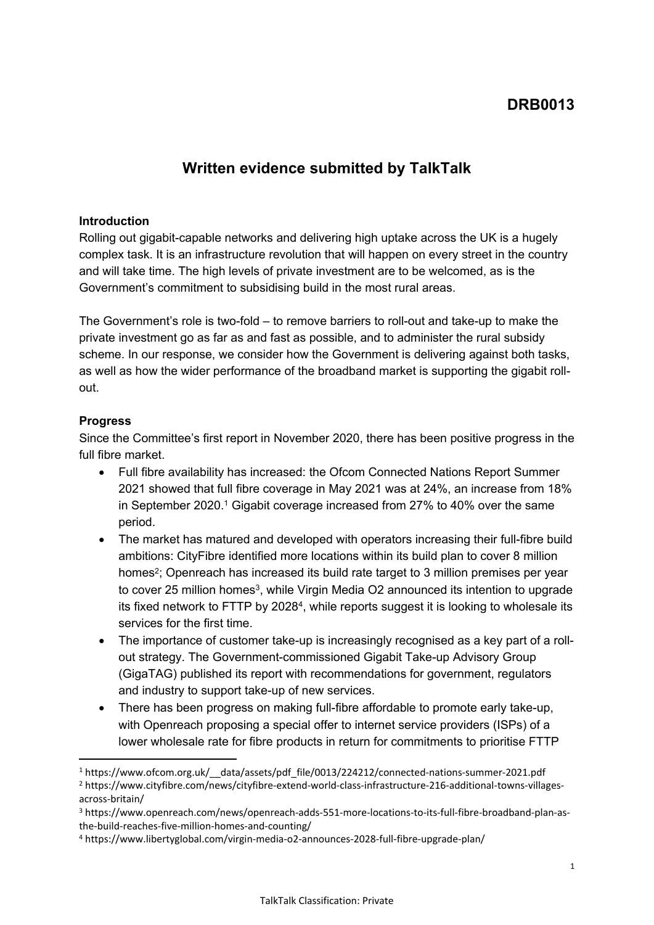# **DRB0013**

## **Written evidence submitted by TalkTalk**

### **Introduction**

Rolling out gigabit-capable networks and delivering high uptake across the UK is a hugely complex task. It is an infrastructure revolution that will happen on every street in the country and will take time. The high levels of private investment are to be welcomed, as is the Government's commitment to subsidising build in the most rural areas.

The Government's role is two-fold – to remove barriers to roll-out and take-up to make the private investment go as far as and fast as possible, and to administer the rural subsidy scheme. In our response, we consider how the Government is delivering against both tasks, as well as how the wider performance of the broadband market is supporting the gigabit rollout.

## **Progress**

Since the Committee's first report in November 2020, there has been positive progress in the full fibre market.

- Full fibre availability has increased: the Ofcom Connected Nations Report Summer 2021 showed that full fibre coverage in May 2021 was at 24%, an increase from 18% in September 2020.<sup>1</sup> Gigabit coverage increased from 27% to 40% over the same period.
- The market has matured and developed with operators increasing their full-fibre build ambitions: CityFibre identified more locations within its build plan to cover 8 million homes<sup>2</sup>; Openreach has increased its build rate target to 3 million premises per year to cover 25 million homes<sup>3</sup>, while Virgin Media O2 announced its intention to upgrade its fixed network to FTTP by 2028<sup>4</sup>, while reports suggest it is looking to wholesale its services for the first time.
- The importance of customer take-up is increasingly recognised as a key part of a rollout strategy. The Government-commissioned Gigabit Take-up Advisory Group (GigaTAG) published its report with recommendations for government, regulators and industry to support take-up of new services.
- There has been progress on making full-fibre affordable to promote early take-up, with Openreach proposing a special offer to internet service providers (ISPs) of a lower wholesale rate for fibre products in return for commitments to prioritise FTTP

<sup>1</sup> https://www.ofcom.org.uk/\_\_data/assets/pdf\_file/0013/224212/connected-nations-summer-2021.pdf

<sup>2</sup> https://www.cityfibre.com/news/cityfibre-extend-world-class-infrastructure-216-additional-towns-villagesacross-britain/

<sup>3</sup> https://www.openreach.com/news/openreach-adds-551-more-locations-to-its-full-fibre-broadband-plan-asthe-build-reaches-five-million-homes-and-counting/

<sup>4</sup> https://www.libertyglobal.com/virgin-media-o2-announces-2028-full-fibre-upgrade-plan/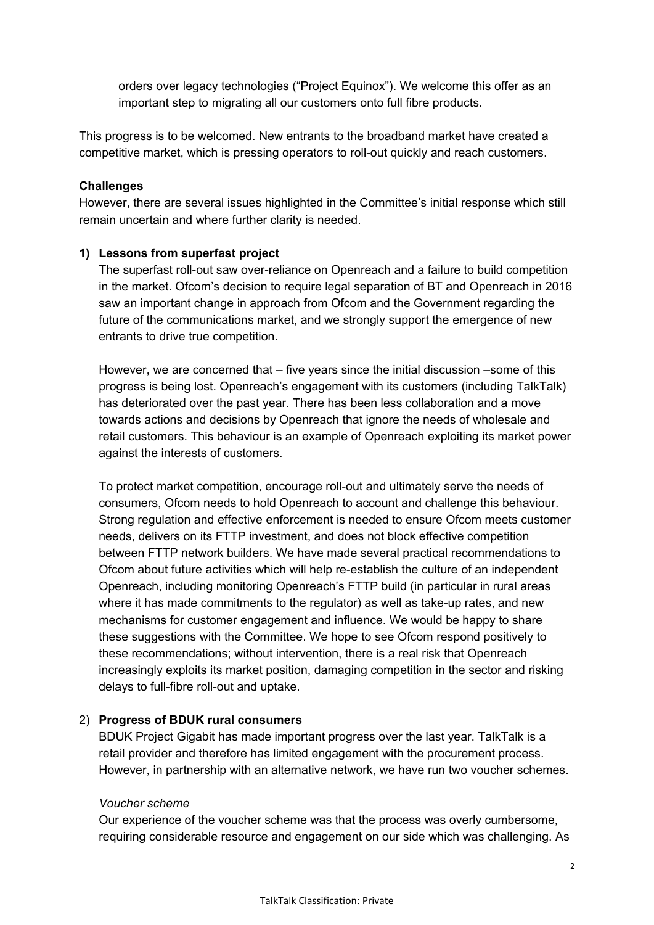orders over legacy technologies ("Project Equinox"). We welcome this offer as an important step to migrating all our customers onto full fibre products.

This progress is to be welcomed. New entrants to the broadband market have created a competitive market, which is pressing operators to roll-out quickly and reach customers.

### **Challenges**

However, there are several issues highlighted in the Committee's initial response which still remain uncertain and where further clarity is needed.

## **1) Lessons from superfast project**

The superfast roll-out saw over-reliance on Openreach and a failure to build competition in the market. Ofcom's decision to require legal separation of BT and Openreach in 2016 saw an important change in approach from Ofcom and the Government regarding the future of the communications market, and we strongly support the emergence of new entrants to drive true competition.

However, we are concerned that – five years since the initial discussion –some of this progress is being lost. Openreach's engagement with its customers (including TalkTalk) has deteriorated over the past year. There has been less collaboration and a move towards actions and decisions by Openreach that ignore the needs of wholesale and retail customers. This behaviour is an example of Openreach exploiting its market power against the interests of customers.

To protect market competition, encourage roll-out and ultimately serve the needs of consumers, Ofcom needs to hold Openreach to account and challenge this behaviour. Strong regulation and effective enforcement is needed to ensure Ofcom meets customer needs, delivers on its FTTP investment, and does not block effective competition between FTTP network builders. We have made several practical recommendations to Ofcom about future activities which will help re-establish the culture of an independent Openreach, including monitoring Openreach's FTTP build (in particular in rural areas where it has made commitments to the regulator) as well as take-up rates, and new mechanisms for customer engagement and influence. We would be happy to share these suggestions with the Committee. We hope to see Ofcom respond positively to these recommendations; without intervention, there is a real risk that Openreach increasingly exploits its market position, damaging competition in the sector and risking delays to full-fibre roll-out and uptake.

#### 2) **Progress of BDUK rural consumers**

BDUK Project Gigabit has made important progress over the last year. TalkTalk is a retail provider and therefore has limited engagement with the procurement process. However, in partnership with an alternative network, we have run two voucher schemes.

#### *Voucher scheme*

Our experience of the voucher scheme was that the process was overly cumbersome, requiring considerable resource and engagement on our side which was challenging. As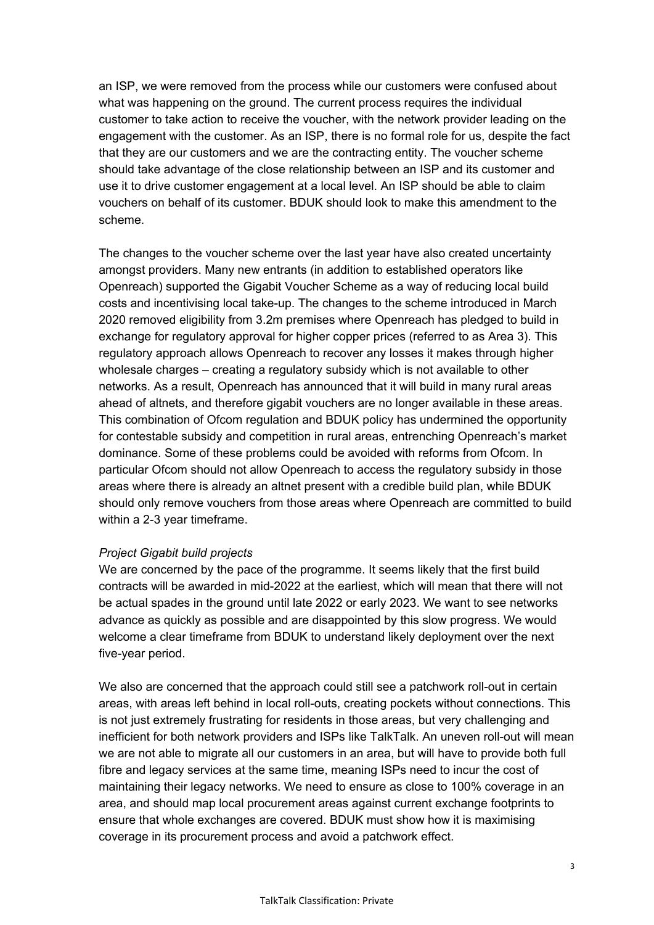an ISP, we were removed from the process while our customers were confused about what was happening on the ground. The current process requires the individual customer to take action to receive the voucher, with the network provider leading on the engagement with the customer. As an ISP, there is no formal role for us, despite the fact that they are our customers and we are the contracting entity. The voucher scheme should take advantage of the close relationship between an ISP and its customer and use it to drive customer engagement at a local level. An ISP should be able to claim vouchers on behalf of its customer. BDUK should look to make this amendment to the scheme.

The changes to the voucher scheme over the last year have also created uncertainty amongst providers. Many new entrants (in addition to established operators like Openreach) supported the Gigabit Voucher Scheme as a way of reducing local build costs and incentivising local take-up. The changes to the scheme introduced in March 2020 removed eligibility from 3.2m premises where Openreach has pledged to build in exchange for regulatory approval for higher copper prices (referred to as Area 3). This regulatory approach allows Openreach to recover any losses it makes through higher wholesale charges – creating a regulatory subsidy which is not available to other networks. As a result, Openreach has announced that it will build in many rural areas ahead of altnets, and therefore gigabit vouchers are no longer available in these areas. This combination of Ofcom regulation and BDUK policy has undermined the opportunity for contestable subsidy and competition in rural areas, entrenching Openreach's market dominance. Some of these problems could be avoided with reforms from Ofcom. In particular Ofcom should not allow Openreach to access the regulatory subsidy in those areas where there is already an altnet present with a credible build plan, while BDUK should only remove vouchers from those areas where Openreach are committed to build within a 2-3 year timeframe.

#### *Project Gigabit build projects*

We are concerned by the pace of the programme. It seems likely that the first build contracts will be awarded in mid-2022 at the earliest, which will mean that there will not be actual spades in the ground until late 2022 or early 2023. We want to see networks advance as quickly as possible and are disappointed by this slow progress. We would welcome a clear timeframe from BDUK to understand likely deployment over the next five-year period.

We also are concerned that the approach could still see a patchwork roll-out in certain areas, with areas left behind in local roll-outs, creating pockets without connections. This is not just extremely frustrating for residents in those areas, but very challenging and inefficient for both network providers and ISPs like TalkTalk. An uneven roll-out will mean we are not able to migrate all our customers in an area, but will have to provide both full fibre and legacy services at the same time, meaning ISPs need to incur the cost of maintaining their legacy networks. We need to ensure as close to 100% coverage in an area, and should map local procurement areas against current exchange footprints to ensure that whole exchanges are covered. BDUK must show how it is maximising coverage in its procurement process and avoid a patchwork effect.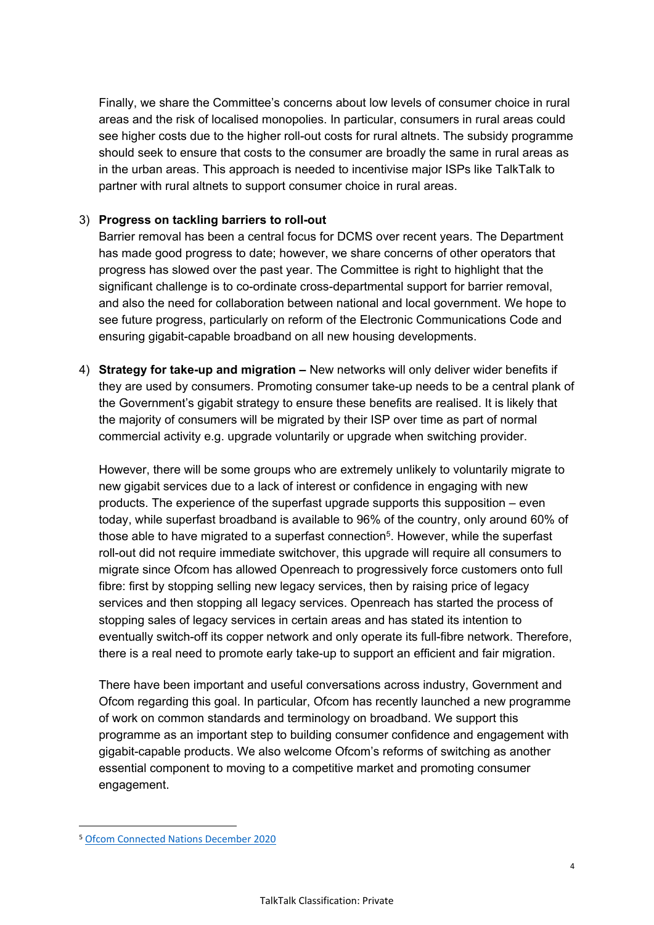Finally, we share the Committee's concerns about low levels of consumer choice in rural areas and the risk of localised monopolies. In particular, consumers in rural areas could see higher costs due to the higher roll-out costs for rural altnets. The subsidy programme should seek to ensure that costs to the consumer are broadly the same in rural areas as in the urban areas. This approach is needed to incentivise major ISPs like TalkTalk to partner with rural altnets to support consumer choice in rural areas.

## 3) **Progress on tackling barriers to roll-out**

Barrier removal has been a central focus for DCMS over recent years. The Department has made good progress to date; however, we share concerns of other operators that progress has slowed over the past year. The Committee is right to highlight that the significant challenge is to co-ordinate cross-departmental support for barrier removal, and also the need for collaboration between national and local government. We hope to see future progress, particularly on reform of the Electronic Communications Code and ensuring gigabit-capable broadband on all new housing developments.

4) **Strategy for take-up and migration –** New networks will only deliver wider benefits if they are used by consumers. Promoting consumer take-up needs to be a central plank of the Government's gigabit strategy to ensure these benefits are realised. It is likely that the majority of consumers will be migrated by their ISP over time as part of normal commercial activity e.g. upgrade voluntarily or upgrade when switching provider.

However, there will be some groups who are extremely unlikely to voluntarily migrate to new gigabit services due to a lack of interest or confidence in engaging with new products. The experience of the superfast upgrade supports this supposition – even today, while superfast broadband is available to 96% of the country, only around 60% of those able to have migrated to a superfast connection<sup>5</sup>. However, while the superfast roll-out did not require immediate switchover, this upgrade will require all consumers to migrate since Ofcom has allowed Openreach to progressively force customers onto full fibre: first by stopping selling new legacy services, then by raising price of legacy services and then stopping all legacy services. Openreach has started the process of stopping sales of legacy services in certain areas and has stated its intention to eventually switch-off its copper network and only operate its full-fibre network. Therefore, there is a real need to promote early take-up to support an efficient and fair migration.

There have been important and useful conversations across industry, Government and Ofcom regarding this goal. In particular, Ofcom has recently launched a new programme of work on common standards and terminology on broadband. We support this programme as an important step to building consumer confidence and engagement with gigabit-capable products. We also welcome Ofcom's reforms of switching as another essential component to moving to a competitive market and promoting consumer engagement.

<sup>5</sup> [Ofcom](https://www.ofcom.org.uk/__data/assets/pdf_file/0024/209373/connected-nations-2020.pdf) [Connected](https://www.ofcom.org.uk/__data/assets/pdf_file/0024/209373/connected-nations-2020.pdf) [Nations](https://www.ofcom.org.uk/__data/assets/pdf_file/0024/209373/connected-nations-2020.pdf) [December](https://www.ofcom.org.uk/__data/assets/pdf_file/0024/209373/connected-nations-2020.pdf) [2020](https://www.ofcom.org.uk/__data/assets/pdf_file/0024/209373/connected-nations-2020.pdf)